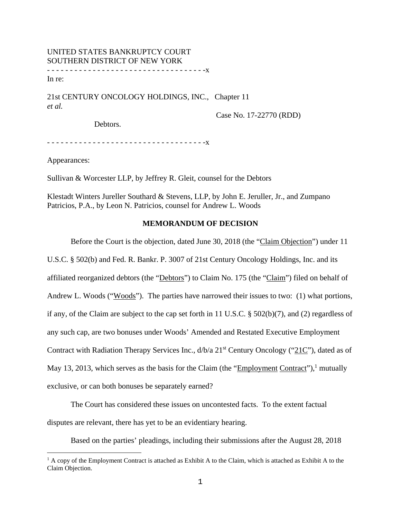# UNITED STATES BANKRUPTCY COURT SOUTHERN DISTRICT OF NEW YORK - - - - - - - - - - - - - - - - - - - - - - - - - - - - - - - - - - -x In re:

21st CENTURY ONCOLOGY HOLDINGS, INC., Chapter 11 *et al.*

Case No. 17-22770 (RDD)

Debtors.

- - - - - - - - - - - - - - - - - - - - - - - - - - - - - - - - - - -x

Appearances:

Sullivan & Worcester LLP, by Jeffrey R. Gleit, counsel for the Debtors

Klestadt Winters Jureller Southard & Stevens, LLP, by John E. Jeruller, Jr., and Zumpano Patricios, P.A., by Leon N. Patricios, counsel for Andrew L. Woods

## **MEMORANDUM OF DECISION**

Before the Court is the objection, dated June 30, 2018 (the "Claim Objection") under 11

U.S.C. § 502(b) and Fed. R. Bankr. P. 3007 of 21st Century Oncology Holdings, Inc. and its affiliated reorganized debtors (the "Debtors") to Claim No. 175 (the "Claim") filed on behalf of Andrew L. Woods ("Woods"). The parties have narrowed their issues to two: (1) what portions, if any, of the Claim are subject to the cap set forth in 11 U.S.C. § 502(b)(7), and (2) regardless of any such cap, are two bonuses under Woods' Amended and Restated Executive Employment Contract with Radiation Therapy Services Inc.,  $d/b/a$  21<sup>st</sup> Century Oncology ("21C"), dated as of May 13, 2013, which serves as the basis for the Claim (the "Employment Contract"),<sup>1</sup> mutually exclusive, or can both bonuses be separately earned?

 The Court has considered these issues on uncontested facts. To the extent factual disputes are relevant, there has yet to be an evidentiary hearing.

Based on the parties' pleadings, including their submissions after the August 28, 2018

<sup>&</sup>lt;sup>1</sup> A copy of the Employment Contract is attached as Exhibit A to the Claim, which is attached as Exhibit A to the Claim Objection.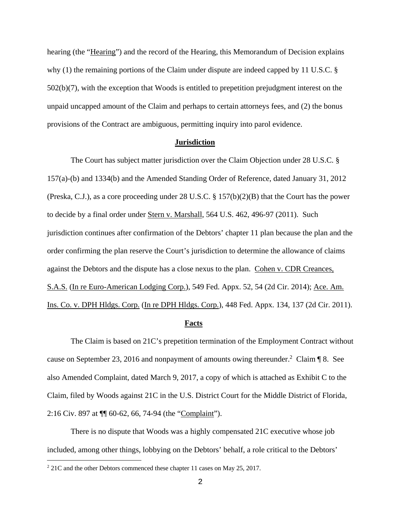hearing (the "Hearing") and the record of the Hearing, this Memorandum of Decision explains why (1) the remaining portions of the Claim under dispute are indeed capped by 11 U.S.C. § 502(b)(7), with the exception that Woods is entitled to prepetition prejudgment interest on the unpaid uncapped amount of the Claim and perhaps to certain attorneys fees, and (2) the bonus provisions of the Contract are ambiguous, permitting inquiry into parol evidence.

### **Jurisdiction**

 The Court has subject matter jurisdiction over the Claim Objection under 28 U.S.C. § 157(a)-(b) and 1334(b) and the Amended Standing Order of Reference, dated January 31, 2012 (Preska, C.J.), as a core proceeding under 28 U.S.C. § 157(b)(2)(B) that the Court has the power to decide by a final order under Stern v. Marshall, 564 U.S. 462, 496-97 (2011). Such jurisdiction continues after confirmation of the Debtors' chapter 11 plan because the plan and the order confirming the plan reserve the Court's jurisdiction to determine the allowance of claims against the Debtors and the dispute has a close nexus to the plan. Cohen v. CDR Creances, S.A.S. (In re Euro-American Lodging Corp.), 549 Fed. Appx. 52, 54 (2d Cir. 2014); Ace. Am. Ins. Co. v. DPH Hldgs. Corp. (In re DPH Hldgs. Corp.), 448 Fed. Appx. 134, 137 (2d Cir. 2011).

# **Facts**

 The Claim is based on 21C's prepetition termination of the Employment Contract without cause on September 23, 2016 and nonpayment of amounts owing thereunder.<sup>2</sup> Claim  $\P$  8. See also Amended Complaint, dated March 9, 2017, a copy of which is attached as Exhibit C to the Claim, filed by Woods against 21C in the U.S. District Court for the Middle District of Florida, 2:16 Civ. 897 at ¶¶ 60-62, 66, 74-94 (the "Complaint").

 There is no dispute that Woods was a highly compensated 21C executive whose job included, among other things, lobbying on the Debtors' behalf, a role critical to the Debtors'

 $2\,21$ C and the other Debtors commenced these chapter 11 cases on May 25, 2017.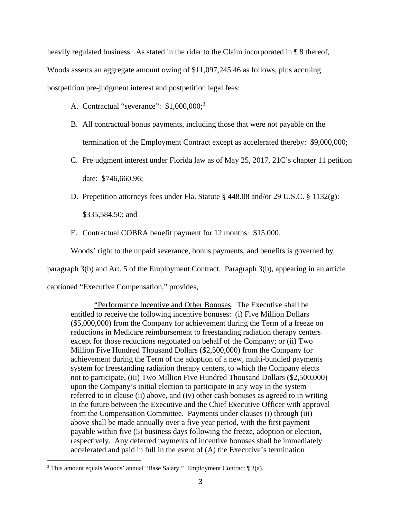heavily regulated business. As stated in the rider to the Claim incorporated in ¶ 8 thereof, Woods asserts an aggregate amount owing of \$11,097,245.46 as follows, plus accruing postpetition pre-judgment interest and postpetition legal fees:

- A. Contractual "severance": \$1,000,000;<sup>3</sup>
- B. All contractual bonus payments, including those that were not payable on the termination of the Employment Contract except as accelerated thereby: \$9,000,000;
- C. Prejudgment interest under Florida law as of May 25, 2017, 21C's chapter 11 petition date: \$746,660.96;
- D. Prepetition attorneys fees under Fla. Statute § 448.08 and/or 29 U.S.C. § 1132(g): \$335,584.50; and
- E. Contractual COBRA benefit payment for 12 months: \$15,000.

Woods' right to the unpaid severance, bonus payments, and benefits is governed by

paragraph 3(b) and Art. 5 of the Employment Contract. Paragraph 3(b), appearing in an article

captioned "Executive Compensation," provides,

"Performance Incentive and Other Bonuses. The Executive shall be entitled to receive the following incentive bonuses: (i) Five Million Dollars (\$5,000,000) from the Company for achievement during the Term of a freeze on reductions in Medicare reimbursement to freestanding radiation therapy centers except for those reductions negotiated on behalf of the Company; or (ii) Two Million Five Hundred Thousand Dollars (\$2,500,000) from the Company for achievement during the Term of the adoption of a new, multi-bundled payments system for freestanding radiation therapy centers, to which the Company elects not to participate, (iii) Two Million Five Hundred Thousand Dollars (\$2,500,000) upon the Company's initial election to participate in any way in the system referred to in clause (ii) above, and (iv) other cash bonuses as agreed to in writing in the future between the Executive and the Chief Executive Officer with approval from the Compensation Committee. Payments under clauses (i) through (iii) above shall be made annually over a five year period, with the first payment payable within five (5) business days following the freeze, adoption or election, respectively. Any deferred payments of incentive bonuses shall be immediately accelerated and paid in full in the event of (A) the Executive's termination

i <sup>3</sup> This amount equals Woods' annual "Base Salary." Employment Contract  $\P$  3(a).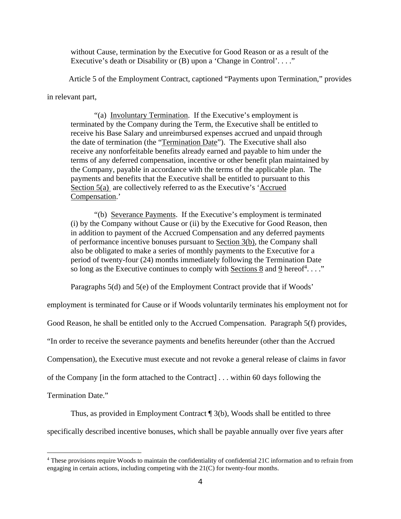without Cause, termination by the Executive for Good Reason or as a result of the Executive's death or Disability or (B) upon a 'Change in Control'...."

Article 5 of the Employment Contract, captioned "Payments upon Termination," provides

in relevant part,

"(a) Involuntary Termination. If the Executive's employment is terminated by the Company during the Term, the Executive shall be entitled to receive his Base Salary and unreimbursed expenses accrued and unpaid through the date of termination (the "Termination Date"). The Executive shall also receive any nonforfeitable benefits already earned and payable to him under the terms of any deferred compensation, incentive or other benefit plan maintained by the Company, payable in accordance with the terms of the applicable plan. The payments and benefits that the Executive shall be entitled to pursuant to this Section 5(a) are collectively referred to as the Executive's 'Accrued Compensation.'

"(b) Severance Payments. If the Executive's employment is terminated (i) by the Company without Cause or (ii) by the Executive for Good Reason, then in addition to payment of the Accrued Compensation and any deferred payments of performance incentive bonuses pursuant to Section 3(b), the Company shall also be obligated to make a series of monthly payments to the Executive for a period of twenty-four (24) months immediately following the Termination Date so long as the Executive continues to comply with Sections 8 and 9 hereof<sup>4</sup>...."

Paragraphs 5(d) and 5(e) of the Employment Contract provide that if Woods'

employment is terminated for Cause or if Woods voluntarily terminates his employment not for

Good Reason, he shall be entitled only to the Accrued Compensation. Paragraph 5(f) provides,

"In order to receive the severance payments and benefits hereunder (other than the Accrued

Compensation), the Executive must execute and not revoke a general release of claims in favor

of the Company [in the form attached to the Contract] . . . within 60 days following the

Termination Date."

i<br>Li

Thus, as provided in Employment Contract ¶ 3(b), Woods shall be entitled to three specifically described incentive bonuses, which shall be payable annually over five years after

<sup>4</sup> These provisions require Woods to maintain the confidentiality of confidential 21C information and to refrain from engaging in certain actions, including competing with the 21(C) for twenty-four months.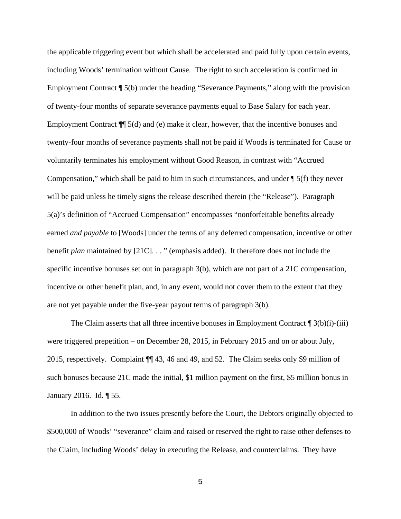the applicable triggering event but which shall be accelerated and paid fully upon certain events, including Woods' termination without Cause. The right to such acceleration is confirmed in Employment Contract ¶ 5(b) under the heading "Severance Payments," along with the provision of twenty-four months of separate severance payments equal to Base Salary for each year. Employment Contract ¶¶ 5(d) and (e) make it clear, however, that the incentive bonuses and twenty-four months of severance payments shall not be paid if Woods is terminated for Cause or voluntarily terminates his employment without Good Reason, in contrast with "Accrued Compensation," which shall be paid to him in such circumstances, and under  $\sqrt{\frac{5}{f}}$  they never will be paid unless he timely signs the release described therein (the "Release"). Paragraph 5(a)'s definition of "Accrued Compensation" encompasses "nonforfeitable benefits already earned *and payable* to [Woods] under the terms of any deferred compensation, incentive or other benefit *plan* maintained by [21C]. . . " (emphasis added). It therefore does not include the specific incentive bonuses set out in paragraph 3(b), which are not part of a 21C compensation, incentive or other benefit plan, and, in any event, would not cover them to the extent that they are not yet payable under the five-year payout terms of paragraph 3(b).

The Claim asserts that all three incentive bonuses in Employment Contract  $\P_3(b)(i)$ -(iii) were triggered prepetition – on December 28, 2015, in February 2015 and on or about July, 2015, respectively. Complaint ¶¶ 43, 46 and 49, and 52. The Claim seeks only \$9 million of such bonuses because 21C made the initial, \$1 million payment on the first, \$5 million bonus in January 2016. Id. ¶ 55.

In addition to the two issues presently before the Court, the Debtors originally objected to \$500,000 of Woods' "severance" claim and raised or reserved the right to raise other defenses to the Claim, including Woods' delay in executing the Release, and counterclaims. They have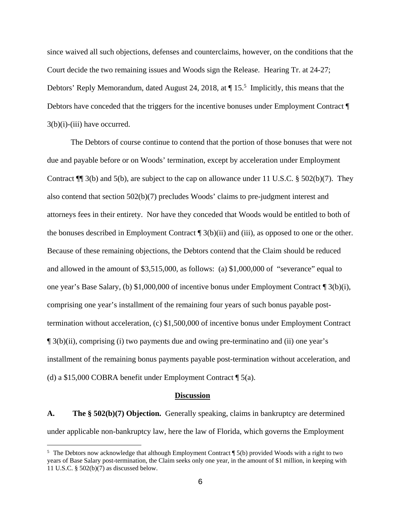since waived all such objections, defenses and counterclaims, however, on the conditions that the Court decide the two remaining issues and Woods sign the Release. Hearing Tr. at 24-27; Debtors' Reply Memorandum, dated August 24, 2018, at  $\P$  15.<sup>5</sup> Implicitly, this means that the Debtors have conceded that the triggers for the incentive bonuses under Employment Contract ¶  $3(b)(i)$ -(iii) have occurred.

The Debtors of course continue to contend that the portion of those bonuses that were not due and payable before or on Woods' termination, except by acceleration under Employment Contract ¶¶ 3(b) and 5(b), are subject to the cap on allowance under 11 U.S.C. § 502(b)(7). They also contend that section 502(b)(7) precludes Woods' claims to pre-judgment interest and attorneys fees in their entirety. Nor have they conceded that Woods would be entitled to both of the bonuses described in Employment Contract  $\P$  3(b)(ii) and (iii), as opposed to one or the other. Because of these remaining objections, the Debtors contend that the Claim should be reduced and allowed in the amount of \$3,515,000, as follows: (a) \$1,000,000 of "severance" equal to one year's Base Salary, (b) \$1,000,000 of incentive bonus under Employment Contract ¶ 3(b)(i), comprising one year's installment of the remaining four years of such bonus payable posttermination without acceleration, (c) \$1,500,000 of incentive bonus under Employment Contract ¶ 3(b)(ii), comprising (i) two payments due and owing pre-terminatino and (ii) one year's installment of the remaining bonus payments payable post-termination without acceleration, and (d) a \$15,000 COBRA benefit under Employment Contract ¶ 5(a).

#### **Discussion**

**A. The § 502(b)(7) Objection.** Generally speaking, claims in bankruptcy are determined under applicable non-bankruptcy law, here the law of Florida, which governs the Employment

<sup>5</sup> The Debtors now acknowledge that although Employment Contract ¶ 5(b) provided Woods with a right to two years of Base Salary post-termination, the Claim seeks only one year, in the amount of \$1 million, in keeping with 11 U.S.C. § 502(b)(7) as discussed below.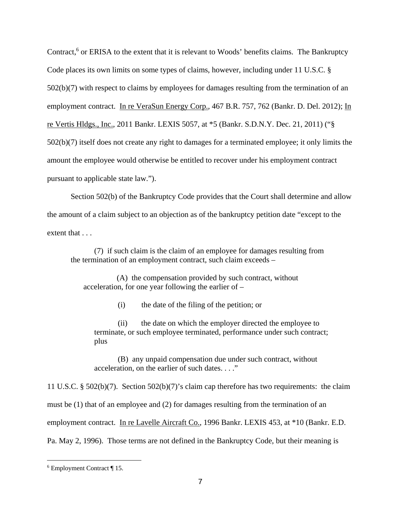Contract,<sup>6</sup> or ERISA to the extent that it is relevant to Woods' benefits claims. The Bankruptcy Code places its own limits on some types of claims, however, including under 11 U.S.C. § 502(b)(7) with respect to claims by employees for damages resulting from the termination of an employment contract. In re VeraSun Energy Corp., 467 B.R. 757, 762 (Bankr. D. Del. 2012); In re Vertis Hldgs., Inc., 2011 Bankr. LEXIS 5057, at \*5 (Bankr. S.D.N.Y. Dec. 21, 2011) ("§ 502(b)(7) itself does not create any right to damages for a terminated employee; it only limits the amount the employee would otherwise be entitled to recover under his employment contract pursuant to applicable state law.").

Section 502(b) of the Bankruptcy Code provides that the Court shall determine and allow the amount of a claim subject to an objection as of the bankruptcy petition date "except to the extent that . . .

(7) if such claim is the claim of an employee for damages resulting from the termination of an employment contract, such claim exceeds –

 (A) the compensation provided by such contract, without acceleration, for one year following the earlier of –

(i) the date of the filing of the petition; or

(ii) the date on which the employer directed the employee to terminate, or such employee terminated, performance under such contract; plus

(B) any unpaid compensation due under such contract, without acceleration, on the earlier of such dates. . . ."

11 U.S.C. § 502(b)(7). Section 502(b)(7)'s claim cap therefore has two requirements: the claim must be (1) that of an employee and (2) for damages resulting from the termination of an employment contract. In re Lavelle Aircraft Co., 1996 Bankr. LEXIS 453, at \*10 (Bankr. E.D. Pa. May 2, 1996). Those terms are not defined in the Bankruptcy Code, but their meaning is

<sup>6</sup> Employment Contract ¶ 15.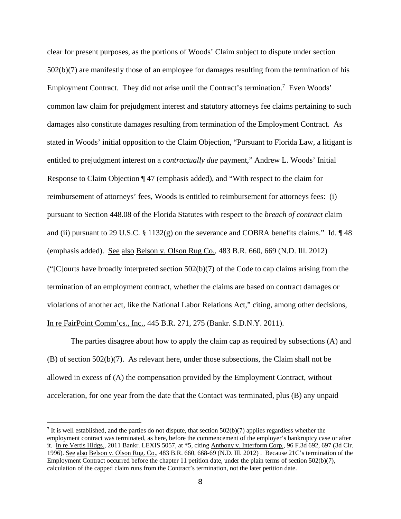clear for present purposes, as the portions of Woods' Claim subject to dispute under section 502(b)(7) are manifestly those of an employee for damages resulting from the termination of his Employment Contract. They did not arise until the Contract's termination.<sup>7</sup> Even Woods' common law claim for prejudgment interest and statutory attorneys fee claims pertaining to such damages also constitute damages resulting from termination of the Employment Contract. As stated in Woods' initial opposition to the Claim Objection, "Pursuant to Florida Law, a litigant is entitled to prejudgment interest on a *contractually due* payment," Andrew L. Woods' Initial Response to Claim Objection ¶ 47 (emphasis added), and "With respect to the claim for reimbursement of attorneys' fees, Woods is entitled to reimbursement for attorneys fees: (i) pursuant to Section 448.08 of the Florida Statutes with respect to the *breach of contract* claim and (ii) pursuant to 29 U.S.C. § 1132(g) on the severance and COBRA benefits claims." Id. ¶ 48 (emphasis added). See also Belson v. Olson Rug Co., 483 B.R. 660, 669 (N.D. Ill. 2012) ("[C]ourts have broadly interpreted section 502(b)(7) of the Code to cap claims arising from the termination of an employment contract, whether the claims are based on contract damages or violations of another act, like the National Labor Relations Act," citing, among other decisions, In re FairPoint Comm'cs., Inc., 445 B.R. 271, 275 (Bankr. S.D.N.Y. 2011).

The parties disagree about how to apply the claim cap as required by subsections (A) and (B) of section 502(b)(7). As relevant here, under those subsections, the Claim shall not be allowed in excess of (A) the compensation provided by the Employment Contract, without acceleration, for one year from the date that the Contact was terminated, plus (B) any unpaid

It is well established, and the parties do not dispute, that section  $502(b)(7)$  applies regardless whether the employment contract was terminated, as here, before the commencement of the employer's bankruptcy case or after it. In re Vertis Hldgs., 2011 Bankr. LEXIS 5057, at \*5, citing Anthony v. Interform Corp., 96 F.3d 692, 697 (3d Cir. 1996). See also Belson v. Olson Rug. Co., 483 B.R. 660, 668-69 (N.D. Ill. 2012) . Because 21C's termination of the Employment Contract occurred before the chapter 11 petition date, under the plain terms of section 502(b)(7), calculation of the capped claim runs from the Contract's termination, not the later petition date.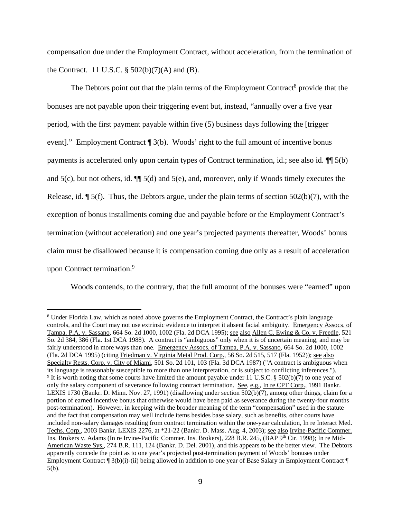compensation due under the Employment Contract, without acceleration, from the termination of the Contract. 11 U.S.C.  $\S$  502(b)(7)(A) and (B).

The Debtors point out that the plain terms of the Employment Contract<sup>8</sup> provide that the bonuses are not payable upon their triggering event but, instead, "annually over a five year period, with the first payment payable within five (5) business days following the [trigger event]." Employment Contract [ 3(b). Woods' right to the full amount of incentive bonus payments is accelerated only upon certain types of Contract termination, id.; see also id. ¶¶ 5(b) and  $5(c)$ , but not others, id.  $\P$   $5(d)$  and  $5(e)$ , and, moreover, only if Woods timely executes the Release, id.  $\P$  5(f). Thus, the Debtors argue, under the plain terms of section 502(b)(7), with the exception of bonus installments coming due and payable before or the Employment Contract's termination (without acceleration) and one year's projected payments thereafter, Woods' bonus claim must be disallowed because it is compensation coming due only as a result of acceleration upon Contract termination.<sup>9</sup>

Woods contends, to the contrary, that the full amount of the bonuses were "earned" upon

<sup>&</sup>lt;sup>8</sup> Under Florida Law, which as noted above governs the Employment Contract, the Contract's plain language controls, and the Court may not use extrinsic evidence to interpret it absent facial ambiguity. Emergency Assocs. of Tampa, P.A. v. Sassano, 664 So. 2d 1000, 1002 (Fla. 2d DCA 1995); see also Allen C. Ewing & Co. v. Freedle, 521 So. 2d 384, 386 (Fla. 1st DCA 1988). A contract is "ambiguous" only when it is of uncertain meaning, and may be fairly understood in more ways than one. Emergency Assocs. of Tampa, P.A. v. Sassano, 664 So. 2d 1000, 1002 (Fla. 2d DCA 1995) (citing Friedman v. Virginia Metal Prod. Corp., 56 So. 2d 515, 517 (Fla. 1952)); see also Specialty Rests. Corp. v. City of Miami, 501 So. 2d 101, 103 (Fla. 3d DCA 1987) ("A contract is ambiguous when its language is reasonably susceptible to more than one interpretation, or is subject to conflicting inferences."). <sup>9</sup> It is worth noting that some courts have limited the amount payable under 11 U.S.C. § 502(b)(7) to one year of only the salary component of severance following contract termination. See, e.g., In re CPT Corp., 1991 Bankr. LEXIS 1730 (Bankr. D. Minn. Nov. 27, 1991) (disallowing under section 502(b)(7), among other things, claim for a portion of earned incentive bonus that otherwise would have been paid as severance during the twenty-four months post-termination). However, in keeping with the broader meaning of the term "compensation" used in the statute and the fact that compensation may well include items besides base salary, such as benefits, other courts have included non-salary damages resulting from contract termination within the one-year calculation, In re Interact Med. Techs. Corp., 2003 Bankr. LEXIS 2276, at \*21-22 (Bankr. D. Mass. Aug. 4, 2003); see also Irvine-Pacific Commer. Ins. Brokers v. Adams (In re Irvine-Pacific Commer. Ins. Brokers), 228 B.R. 245, (BAP 9<sup>th</sup> Cir. 1998); In re Mid-American Waste Sys., 274 B.R. 111, 124 (Bankr. D. Del. 2001), and this appears to be the better view. The Debtors apparently concede the point as to one year's projected post-termination payment of Woods' bonuses under Employment Contract  $\P$  3(b)(i)-(ii) being allowed in addition to one year of Base Salary in Employment Contract  $\P$ 5(b).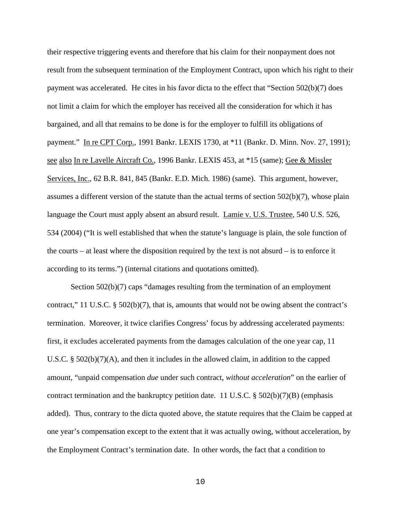their respective triggering events and therefore that his claim for their nonpayment does not result from the subsequent termination of the Employment Contract, upon which his right to their payment was accelerated. He cites in his favor dicta to the effect that "Section 502(b)(7) does not limit a claim for which the employer has received all the consideration for which it has bargained, and all that remains to be done is for the employer to fulfill its obligations of payment." In re CPT Corp., 1991 Bankr. LEXIS 1730, at \*11 (Bankr. D. Minn. Nov. 27, 1991); see also In re Lavelle Aircraft Co., 1996 Bankr. LEXIS 453, at \*15 (same); Gee & Missler Services, Inc., 62 B.R. 841, 845 (Bankr. E.D. Mich. 1986) (same). This argument, however, assumes a different version of the statute than the actual terms of section  $502(b)(7)$ , whose plain language the Court must apply absent an absurd result. Lamie v. U.S. Trustee, 540 U.S. 526, 534 (2004) ("It is well established that when the statute's language is plain, the sole function of the courts – at least where the disposition required by the text is not absurd – is to enforce it according to its terms.") (internal citations and quotations omitted).

Section 502(b)(7) caps "damages resulting from the termination of an employment contract," 11 U.S.C. § 502(b)(7), that is, amounts that would not be owing absent the contract's termination. Moreover, it twice clarifies Congress' focus by addressing accelerated payments: first, it excludes accelerated payments from the damages calculation of the one year cap, 11 U.S.C. §  $502(b)(7)(A)$ , and then it includes in the allowed claim, in addition to the capped amount, "unpaid compensation *due* under such contract, *without acceleration*" on the earlier of contract termination and the bankruptcy petition date. 11 U.S.C.  $\S$  502(b)(7)(B) (emphasis added). Thus, contrary to the dicta quoted above, the statute requires that the Claim be capped at one year's compensation except to the extent that it was actually owing, without acceleration, by the Employment Contract's termination date. In other words, the fact that a condition to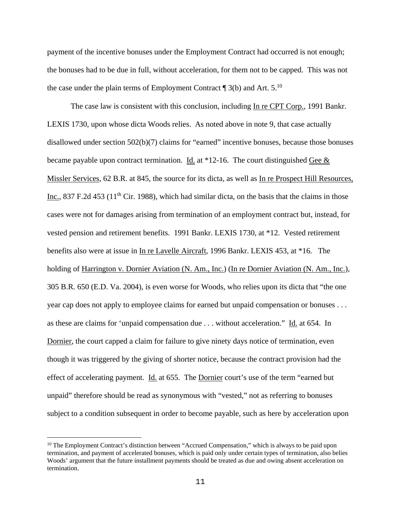payment of the incentive bonuses under the Employment Contract had occurred is not enough; the bonuses had to be due in full, without acceleration, for them not to be capped. This was not the case under the plain terms of Employment Contract  $\P$  3(b) and Art. 5.<sup>10</sup>

The case law is consistent with this conclusion, including In re CPT Corp., 1991 Bankr. LEXIS 1730, upon whose dicta Woods relies. As noted above in note 9, that case actually disallowed under section 502(b)(7) claims for "earned" incentive bonuses, because those bonuses became payable upon contract termination. Id. at  $*12$ -16. The court distinguished Gee  $&$ Missler Services, 62 B.R. at 845, the source for its dicta, as well as In re Prospect Hill Resources, Inc., 837 F.2d 453 ( $11<sup>th</sup>$  Cir. 1988), which had similar dicta, on the basis that the claims in those cases were not for damages arising from termination of an employment contract but, instead, for vested pension and retirement benefits. 1991 Bankr. LEXIS 1730, at \*12. Vested retirement benefits also were at issue in In re Lavelle Aircraft, 1996 Bankr. LEXIS 453, at \*16. The holding of Harrington v. Dornier Aviation (N. Am., Inc.) (In re Dornier Aviation (N. Am., Inc.), 305 B.R. 650 (E.D. Va. 2004), is even worse for Woods, who relies upon its dicta that "the one year cap does not apply to employee claims for earned but unpaid compensation or bonuses . . . as these are claims for 'unpaid compensation due . . . without acceleration." Id. at 654. In Dornier, the court capped a claim for failure to give ninety days notice of termination, even though it was triggered by the giving of shorter notice, because the contract provision had the effect of accelerating payment. Id. at 655. The Dornier court's use of the term "earned but unpaid" therefore should be read as synonymous with "vested," not as referring to bonuses subject to a condition subsequent in order to become payable, such as here by acceleration upon

 $10$  The Employment Contract's distinction between "Accrued Compensation," which is always to be paid upon termination, and payment of accelerated bonuses, which is paid only under certain types of termination, also belies Woods' argument that the future installment payments should be treated as due and owing absent acceleration on termination.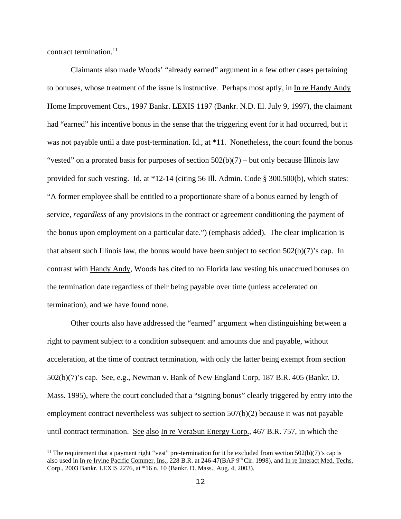contract termination. $11$ 

i

Claimants also made Woods' "already earned" argument in a few other cases pertaining to bonuses, whose treatment of the issue is instructive. Perhaps most aptly, in In re Handy Andy Home Improvement Ctrs., 1997 Bankr. LEXIS 1197 (Bankr. N.D. Ill. July 9, 1997), the claimant had "earned" his incentive bonus in the sense that the triggering event for it had occurred, but it was not payable until a date post-termination. Id., at \*11. Nonetheless, the court found the bonus "vested" on a prorated basis for purposes of section  $502(b)(7)$  – but only because Illinois law provided for such vesting. Id. at \*12-14 (citing 56 Ill. Admin. Code § 300.500(b), which states: "A former employee shall be entitled to a proportionate share of a bonus earned by length of service, *regardless* of any provisions in the contract or agreement conditioning the payment of the bonus upon employment on a particular date.") (emphasis added). The clear implication is that absent such Illinois law, the bonus would have been subject to section  $502(b)(7)$ 's cap. In contrast with Handy Andy, Woods has cited to no Florida law vesting his unaccrued bonuses on the termination date regardless of their being payable over time (unless accelerated on termination), and we have found none.

Other courts also have addressed the "earned" argument when distinguishing between a right to payment subject to a condition subsequent and amounts due and payable, without acceleration, at the time of contract termination, with only the latter being exempt from section 502(b)(7)'s cap. See, e.g., Newman v. Bank of New England Corp, 187 B.R. 405 (Bankr. D. Mass. 1995), where the court concluded that a "signing bonus" clearly triggered by entry into the employment contract nevertheless was subject to section 507(b)(2) because it was not payable until contract termination. See also In re VeraSun Energy Corp., 467 B.R. 757, in which the

<sup>&</sup>lt;sup>11</sup> The requirement that a payment right "vest" pre-termination for it be excluded from section  $502(b)(7)$ 's cap is also used in In re Irvine Pacific Commer. Ins., 228 B.R. at 246-47(BAP 9<sup>th</sup> Cir. 1998), and In re Interact Med. Techs. Corp., 2003 Bankr. LEXIS 2276, at \*16 n. 10 (Bankr. D. Mass., Aug. 4, 2003).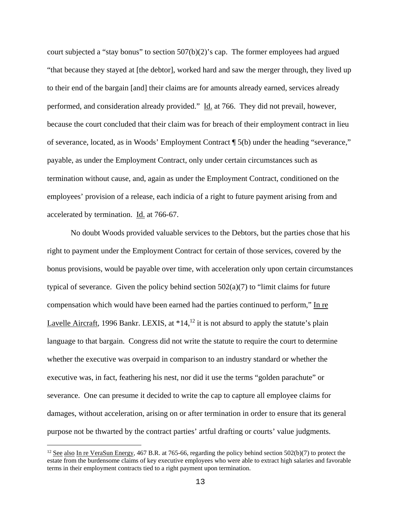court subjected a "stay bonus" to section  $507(b)(2)$ " s cap. The former employees had argued "that because they stayed at [the debtor], worked hard and saw the merger through, they lived up to their end of the bargain [and] their claims are for amounts already earned, services already performed, and consideration already provided." Id. at 766. They did not prevail, however, because the court concluded that their claim was for breach of their employment contract in lieu of severance, located, as in Woods' Employment Contract ¶ 5(b) under the heading "severance," payable, as under the Employment Contract, only under certain circumstances such as termination without cause, and, again as under the Employment Contract, conditioned on the employees' provision of a release, each indicia of a right to future payment arising from and accelerated by termination. Id. at 766-67.

No doubt Woods provided valuable services to the Debtors, but the parties chose that his right to payment under the Employment Contract for certain of those services, covered by the bonus provisions, would be payable over time, with acceleration only upon certain circumstances typical of severance. Given the policy behind section  $502(a)(7)$  to "limit claims for future compensation which would have been earned had the parties continued to perform," In re Lavelle Aircraft, 1996 Bankr. LEXIS, at  $*14$ ,<sup>12</sup> it is not absurd to apply the statute's plain language to that bargain. Congress did not write the statute to require the court to determine whether the executive was overpaid in comparison to an industry standard or whether the executive was, in fact, feathering his nest, nor did it use the terms "golden parachute" or severance. One can presume it decided to write the cap to capture all employee claims for damages, without acceleration, arising on or after termination in order to ensure that its general purpose not be thwarted by the contract parties' artful drafting or courts' value judgments.

<sup>&</sup>lt;sup>12</sup> See also In re VeraSun Energy, 467 B.R. at 765-66, regarding the policy behind section 502(b)(7) to protect the estate from the burdensome claims of key executive employees who were able to extract high salaries and favorable terms in their employment contracts tied to a right payment upon termination.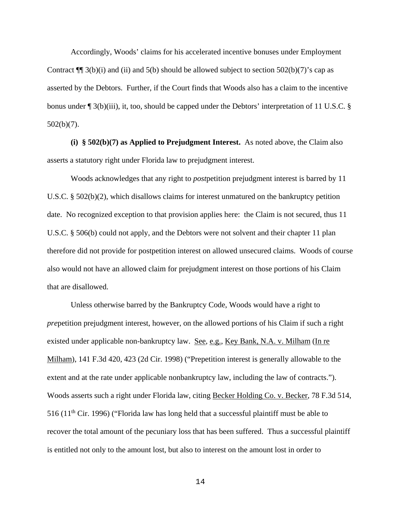Accordingly, Woods' claims for his accelerated incentive bonuses under Employment Contract  $\P$  3(b)(i) and (ii) and 5(b) should be allowed subject to section 502(b)(7)'s cap as asserted by the Debtors. Further, if the Court finds that Woods also has a claim to the incentive bonus under  $\sqrt{3}$  3(b)(iii), it, too, should be capped under the Debtors' interpretation of 11 U.S.C. § 502(b)(7).

**(i) § 502(b)(7) as Applied to Prejudgment Interest.** As noted above, the Claim also asserts a statutory right under Florida law to prejudgment interest.

 Woods acknowledges that any right to *post*petition prejudgment interest is barred by 11 U.S.C. § 502(b)(2), which disallows claims for interest unmatured on the bankruptcy petition date. No recognized exception to that provision applies here: the Claim is not secured, thus 11 U.S.C. § 506(b) could not apply, and the Debtors were not solvent and their chapter 11 plan therefore did not provide for postpetition interest on allowed unsecured claims. Woods of course also would not have an allowed claim for prejudgment interest on those portions of his Claim that are disallowed.

Unless otherwise barred by the Bankruptcy Code, Woods would have a right to *pre*petition prejudgment interest, however, on the allowed portions of his Claim if such a right existed under applicable non-bankruptcy law. See, e.g., Key Bank, N.A. v. Milham (In re Milham), 141 F.3d 420, 423 (2d Cir. 1998) ("Prepetition interest is generally allowable to the extent and at the rate under applicable nonbankruptcy law, including the law of contracts."). Woods asserts such a right under Florida law, citing Becker Holding Co. v. Becker, 78 F.3d 514, 516 ( $11<sup>th</sup>$  Cir. 1996) ("Florida law has long held that a successful plaintiff must be able to recover the total amount of the pecuniary loss that has been suffered. Thus a successful plaintiff is entitled not only to the amount lost, but also to interest on the amount lost in order to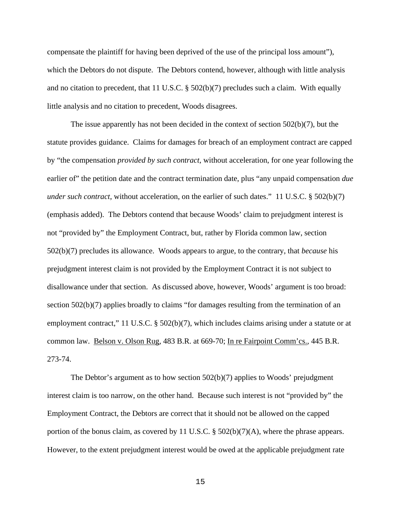compensate the plaintiff for having been deprived of the use of the principal loss amount"), which the Debtors do not dispute. The Debtors contend, however, although with little analysis and no citation to precedent, that 11 U.S.C. § 502(b)(7) precludes such a claim. With equally little analysis and no citation to precedent, Woods disagrees.

 The issue apparently has not been decided in the context of section 502(b)(7), but the statute provides guidance. Claims for damages for breach of an employment contract are capped by "the compensation *provided by such contract*, without acceleration, for one year following the earlier of" the petition date and the contract termination date, plus "any unpaid compensation *due under such contract*, without acceleration, on the earlier of such dates." 11 U.S.C. § 502(b)(7) (emphasis added). The Debtors contend that because Woods' claim to prejudgment interest is not "provided by" the Employment Contract, but, rather by Florida common law, section 502(b)(7) precludes its allowance. Woods appears to argue, to the contrary, that *because* his prejudgment interest claim is not provided by the Employment Contract it is not subject to disallowance under that section. As discussed above, however, Woods' argument is too broad: section 502(b)(7) applies broadly to claims "for damages resulting from the termination of an employment contract," 11 U.S.C. § 502(b)(7), which includes claims arising under a statute or at common law. Belson v. Olson Rug, 483 B.R. at 669-70; In re Fairpoint Comm'cs., 445 B.R. 273-74.

 The Debtor's argument as to how section 502(b)(7) applies to Woods' prejudgment interest claim is too narrow, on the other hand. Because such interest is not "provided by" the Employment Contract, the Debtors are correct that it should not be allowed on the capped portion of the bonus claim, as covered by 11 U.S.C.  $\S$  502(b)(7)(A), where the phrase appears. However, to the extent prejudgment interest would be owed at the applicable prejudgment rate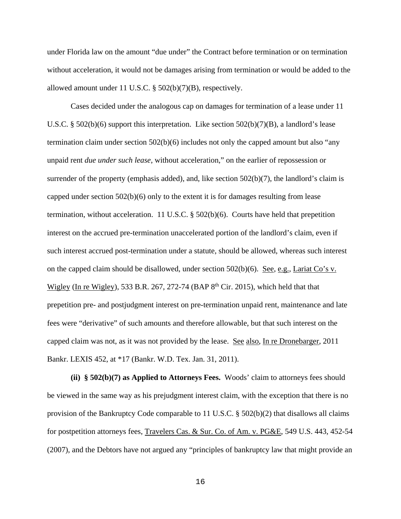under Florida law on the amount "due under" the Contract before termination or on termination without acceleration, it would not be damages arising from termination or would be added to the allowed amount under 11 U.S.C. § 502(b)(7)(B), respectively.

 Cases decided under the analogous cap on damages for termination of a lease under 11 U.S.C. § 502(b)(6) support this interpretation. Like section  $502(b)(7)(B)$ , a landlord's lease termination claim under section  $502(b)(6)$  includes not only the capped amount but also "any unpaid rent *due under such lease*, without acceleration," on the earlier of repossession or surrender of the property (emphasis added), and, like section 502(b)(7), the landlord's claim is capped under section 502(b)(6) only to the extent it is for damages resulting from lease termination, without acceleration. 11 U.S.C. § 502(b)(6). Courts have held that prepetition interest on the accrued pre-termination unaccelerated portion of the landlord's claim, even if such interest accrued post-termination under a statute, should be allowed, whereas such interest on the capped claim should be disallowed, under section 502(b)(6). See, e.g., Lariat Co's v. Wigley (In re Wigley), 533 B.R. 267, 272-74 (BAP  $8<sup>th</sup>$  Cir. 2015), which held that that prepetition pre- and postjudgment interest on pre-termination unpaid rent, maintenance and late fees were "derivative" of such amounts and therefore allowable, but that such interest on the capped claim was not, as it was not provided by the lease. See also, In re Dronebarger, 2011 Bankr. LEXIS 452, at \*17 (Bankr. W.D. Tex. Jan. 31, 2011).

**(ii) § 502(b)(7) as Applied to Attorneys Fees.** Woods' claim to attorneys fees should be viewed in the same way as his prejudgment interest claim, with the exception that there is no provision of the Bankruptcy Code comparable to 11 U.S.C. § 502(b)(2) that disallows all claims for postpetition attorneys fees, Travelers Cas. & Sur. Co. of Am. v. PG&E, 549 U.S. 443, 452-54 (2007), and the Debtors have not argued any "principles of bankruptcy law that might provide an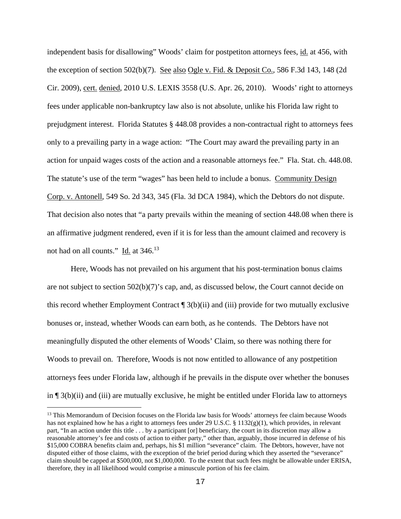independent basis for disallowing" Woods' claim for postpetiton attorneys fees, id. at 456, with the exception of section 502(b)(7). See also Ogle v. Fid. & Deposit Co., 586 F.3d 143, 148 (2d Cir. 2009), cert. denied, 2010 U.S. LEXIS 3558 (U.S. Apr. 26, 2010). Woods' right to attorneys fees under applicable non-bankruptcy law also is not absolute, unlike his Florida law right to prejudgment interest. Florida Statutes § 448.08 provides a non-contractual right to attorneys fees only to a prevailing party in a wage action: "The Court may award the prevailing party in an action for unpaid wages costs of the action and a reasonable attorneys fee." Fla. Stat. ch. 448.08. The statute's use of the term "wages" has been held to include a bonus. Community Design Corp. v. Antonell, 549 So. 2d 343, 345 (Fla. 3d DCA 1984), which the Debtors do not dispute. That decision also notes that "a party prevails within the meaning of section 448.08 when there is an affirmative judgment rendered, even if it is for less than the amount claimed and recovery is not had on all counts." Id. at 346.<sup>13</sup>

 Here, Woods has not prevailed on his argument that his post-termination bonus claims are not subject to section  $502(b)(7)$ 's cap, and, as discussed below, the Court cannot decide on this record whether Employment Contract ¶ 3(b)(ii) and (iii) provide for two mutually exclusive bonuses or, instead, whether Woods can earn both, as he contends. The Debtors have not meaningfully disputed the other elements of Woods' Claim, so there was nothing there for Woods to prevail on. Therefore, Woods is not now entitled to allowance of any postpetition attorneys fees under Florida law, although if he prevails in the dispute over whether the bonuses in  $\P$  3(b)(ii) and (iii) are mutually exclusive, he might be entitled under Florida law to attorneys

i<br>Li

<sup>&</sup>lt;sup>13</sup> This Memorandum of Decision focuses on the Florida law basis for Woods' attorneys fee claim because Woods has not explained how he has a right to attorneys fees under 29 U.S.C. § 1132(g)(1), which provides, in relevant part, "In an action under this title . . . by a participant [or] beneficiary, the court in its discretion may allow a reasonable attorney's fee and costs of action to either party," other than, arguably, those incurred in defense of his \$15,000 COBRA benefits claim and, perhaps, his \$1 million "severance" claim. The Debtors, however, have not disputed either of those claims, with the exception of the brief period during which they asserted the "severance" claim should be capped at \$500,000, not \$1,000,000. To the extent that such fees might be allowable under ERISA, therefore, they in all likelihood would comprise a minuscule portion of his fee claim.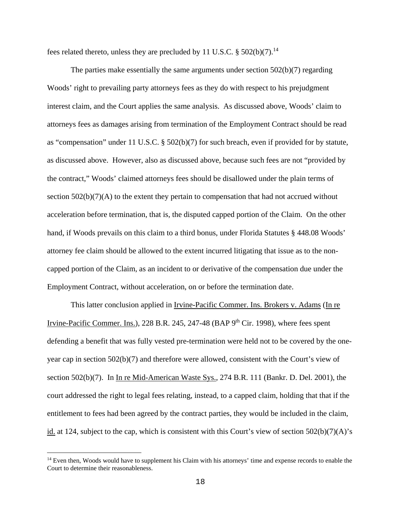fees related thereto, unless they are precluded by 11 U.S.C.  $\S 502(b)(7)$ .<sup>14</sup>

The parties make essentially the same arguments under section  $502(b)(7)$  regarding Woods' right to prevailing party attorneys fees as they do with respect to his prejudgment interest claim, and the Court applies the same analysis. As discussed above, Woods' claim to attorneys fees as damages arising from termination of the Employment Contract should be read as "compensation" under 11 U.S.C. § 502(b)(7) for such breach, even if provided for by statute, as discussed above. However, also as discussed above, because such fees are not "provided by the contract," Woods' claimed attorneys fees should be disallowed under the plain terms of section  $502(b)(7)(A)$  to the extent they pertain to compensation that had not accrued without acceleration before termination, that is, the disputed capped portion of the Claim. On the other hand, if Woods prevails on this claim to a third bonus, under Florida Statutes § 448.08 Woods' attorney fee claim should be allowed to the extent incurred litigating that issue as to the noncapped portion of the Claim, as an incident to or derivative of the compensation due under the Employment Contract, without acceleration, on or before the termination date.

This latter conclusion applied in <u>Irvine-Pacific Commer. Ins. Brokers v. Adams</u> (In re Irvine-Pacific Commer. Ins.), 228 B.R. 245, 247-48 (BAP  $9<sup>th</sup>$  Cir. 1998), where fees spent defending a benefit that was fully vested pre-termination were held not to be covered by the oneyear cap in section 502(b)(7) and therefore were allowed, consistent with the Court's view of section 502(b)(7). In In re Mid-American Waste Sys., 274 B.R. 111 (Bankr. D. Del. 2001), the court addressed the right to legal fees relating, instead, to a capped claim, holding that that if the entitlement to fees had been agreed by the contract parties, they would be included in the claim, id. at 124, subject to the cap, which is consistent with this Court's view of section 502(b)(7)(A)'s

i<br>Li

<sup>&</sup>lt;sup>14</sup> Even then, Woods would have to supplement his Claim with his attorneys' time and expense records to enable the Court to determine their reasonableness.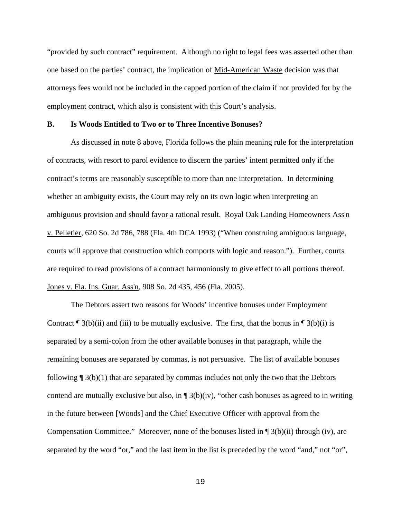"provided by such contract" requirement. Although no right to legal fees was asserted other than one based on the parties' contract, the implication of Mid-American Waste decision was that attorneys fees would not be included in the capped portion of the claim if not provided for by the employment contract, which also is consistent with this Court's analysis.

### **B. Is Woods Entitled to Two or to Three Incentive Bonuses?**

 As discussed in note 8 above, Florida follows the plain meaning rule for the interpretation of contracts, with resort to parol evidence to discern the parties' intent permitted only if the contract's terms are reasonably susceptible to more than one interpretation. In determining whether an ambiguity exists, the Court may rely on its own logic when interpreting an ambiguous provision and should favor a rational result. Royal Oak Landing Homeowners Ass'n v. Pelletier, 620 So. 2d 786, 788 (Fla. 4th DCA 1993) ("When construing ambiguous language, courts will approve that construction which comports with logic and reason."). Further, courts are required to read provisions of a contract harmoniously to give effect to all portions thereof. Jones v. Fla. Ins. Guar. Ass'n, 908 So. 2d 435, 456 (Fla. 2005).

 The Debtors assert two reasons for Woods' incentive bonuses under Employment Contract  $\P$  3(b)(ii) and (iii) to be mutually exclusive. The first, that the bonus in  $\P$  3(b)(i) is separated by a semi-colon from the other available bonuses in that paragraph, while the remaining bonuses are separated by commas, is not persuasive. The list of available bonuses following  $\sqrt{\frac{3(b)(1)}}$  that are separated by commas includes not only the two that the Debtors contend are mutually exclusive but also, in  $\P$  3(b)(iv), "other cash bonuses as agreed to in writing in the future between [Woods] and the Chief Executive Officer with approval from the Compensation Committee." Moreover, none of the bonuses listed in ¶ 3(b)(ii) through (iv), are separated by the word "or," and the last item in the list is preceded by the word "and," not "or",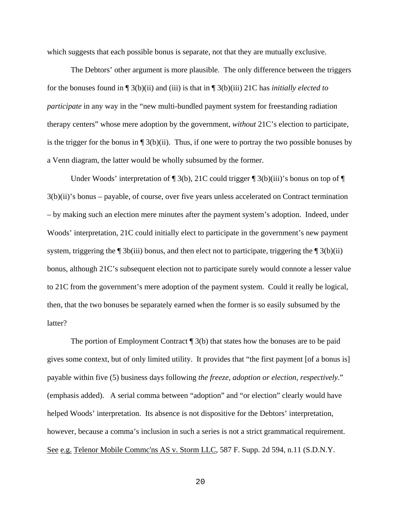which suggests that each possible bonus is separate, not that they are mutually exclusive.

 The Debtors' other argument is more plausible. The only difference between the triggers for the bonuses found in ¶ 3(b)(ii) and (iii) is that in ¶ 3(b)(iii) 21C has *initially elected to participate* in any way in the "new multi-bundled payment system for freestanding radiation therapy centers" whose mere adoption by the government, *without* 21C's election to participate, is the trigger for the bonus in  $\P_3(b)(ii)$ . Thus, if one were to portray the two possible bonuses by a Venn diagram, the latter would be wholly subsumed by the former.

Under Woods' interpretation of  $\P$  3(b), 21C could trigger  $\P$  3(b)(iii)'s bonus on top of  $\P$ 3(b)(ii)'s bonus – payable, of course, over five years unless accelerated on Contract termination – by making such an election mere minutes after the payment system's adoption. Indeed, under Woods' interpretation, 21C could initially elect to participate in the government's new payment system, triggering the  $\P$  3b(iii) bonus, and then elect not to participate, triggering the  $\P$  3(b)(ii) bonus, although 21C's subsequent election not to participate surely would connote a lesser value to 21C from the government's mere adoption of the payment system. Could it really be logical, then, that the two bonuses be separately earned when the former is so easily subsumed by the latter?

The portion of Employment Contract  $\P$  3(b) that states how the bonuses are to be paid gives some context, but of only limited utility. It provides that "the first payment [of a bonus is] payable within five (5) business days following *the freeze, adoption or election, respectively*." (emphasis added). A serial comma between "adoption" and "or election" clearly would have helped Woods' interpretation. Its absence is not dispositive for the Debtors' interpretation, however, because a comma's inclusion in such a series is not a strict grammatical requirement. See e.g. Telenor Mobile Commc'ns AS v. Storm LLC, 587 F. Supp. 2d 594, n.11 (S.D.N.Y.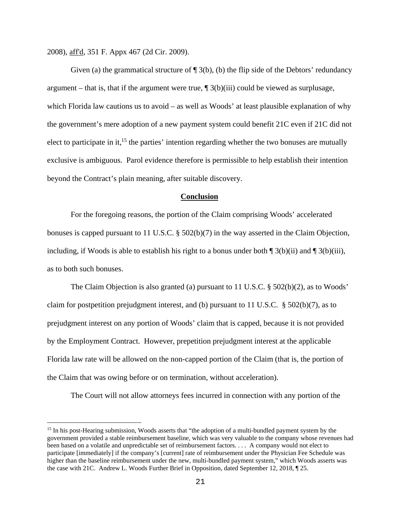2008), aff'd, 351 F. Appx 467 (2d Cir. 2009).

i

Given (a) the grammatical structure of  $\P$  3(b), (b) the flip side of the Debtors' redundancy argument – that is, that if the argument were true,  $\P$  3(b)(iii) could be viewed as surplusage, which Florida law cautions us to avoid – as well as Woods' at least plausible explanation of why the government's mere adoption of a new payment system could benefit 21C even if 21C did not elect to participate in it,<sup>15</sup> the parties' intention regarding whether the two bonuses are mutually exclusive is ambiguous. Parol evidence therefore is permissible to help establish their intention beyond the Contract's plain meaning, after suitable discovery.

### **Conclusion**

 For the foregoing reasons, the portion of the Claim comprising Woods' accelerated bonuses is capped pursuant to 11 U.S.C. § 502(b)(7) in the way asserted in the Claim Objection, including, if Woods is able to establish his right to a bonus under both  $\int 3(b)(ii)$  and  $\int 3(b)(iii)$ , as to both such bonuses.

The Claim Objection is also granted (a) pursuant to 11 U.S.C. § 502(b)(2), as to Woods' claim for postpetition prejudgment interest, and (b) pursuant to 11 U.S.C. § 502(b)(7), as to prejudgment interest on any portion of Woods' claim that is capped, because it is not provided by the Employment Contract. However, prepetition prejudgment interest at the applicable Florida law rate will be allowed on the non-capped portion of the Claim (that is, the portion of the Claim that was owing before or on termination, without acceleration).

The Court will not allow attorneys fees incurred in connection with any portion of the

<sup>&</sup>lt;sup>15</sup> In his post-Hearing submission, Woods asserts that "the adoption of a multi-bundled payment system by the government provided a stable reimbursement baseline, which was very valuable to the company whose revenues had been based on a volatile and unpredictable set of reimbursement factors. . . . A company would not elect to participate [immediately] if the company's [current] rate of reimbursement under the Physician Fee Schedule was higher than the baseline reimbursement under the new, multi-bundled payment system," which Woods asserts was the case with 21C. Andrew L. Woods Further Brief in Opposition, dated September 12, 2018, ¶ 25.